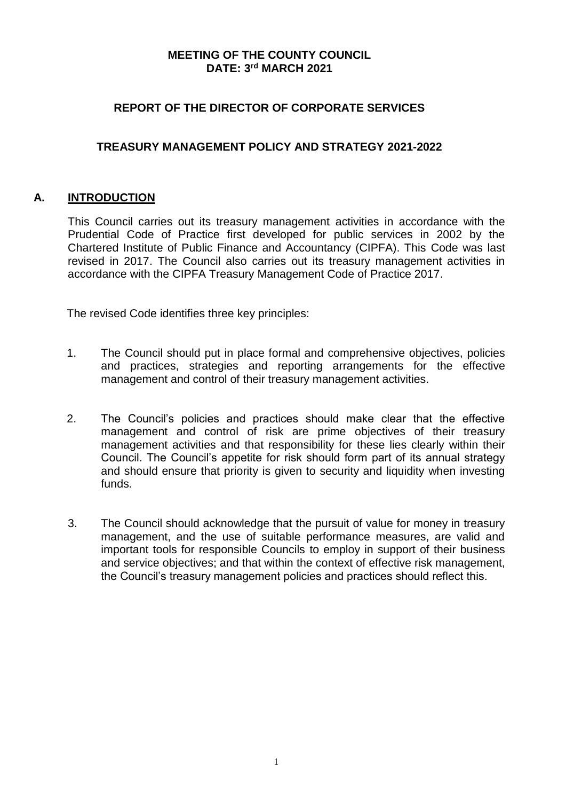## **MEETING OF THE COUNTY COUNCIL DATE: 3 rd MARCH 2021**

## **REPORT OF THE DIRECTOR OF CORPORATE SERVICES**

## **TREASURY MANAGEMENT POLICY AND STRATEGY 2021-2022**

### **A. INTRODUCTION**

This Council carries out its treasury management activities in accordance with the Prudential Code of Practice first developed for public services in 2002 by the Chartered Institute of Public Finance and Accountancy (CIPFA). This Code was last revised in 2017. The Council also carries out its treasury management activities in accordance with the CIPFA Treasury Management Code of Practice 2017.

The revised Code identifies three key principles:

- 1. The Council should put in place formal and comprehensive objectives, policies and practices, strategies and reporting arrangements for the effective management and control of their treasury management activities.
- 2. The Council's policies and practices should make clear that the effective management and control of risk are prime objectives of their treasury management activities and that responsibility for these lies clearly within their Council. The Council's appetite for risk should form part of its annual strategy and should ensure that priority is given to security and liquidity when investing funds.
- 3. The Council should acknowledge that the pursuit of value for money in treasury management, and the use of suitable performance measures, are valid and important tools for responsible Councils to employ in support of their business and service objectives; and that within the context of effective risk management, the Council's treasury management policies and practices should reflect this.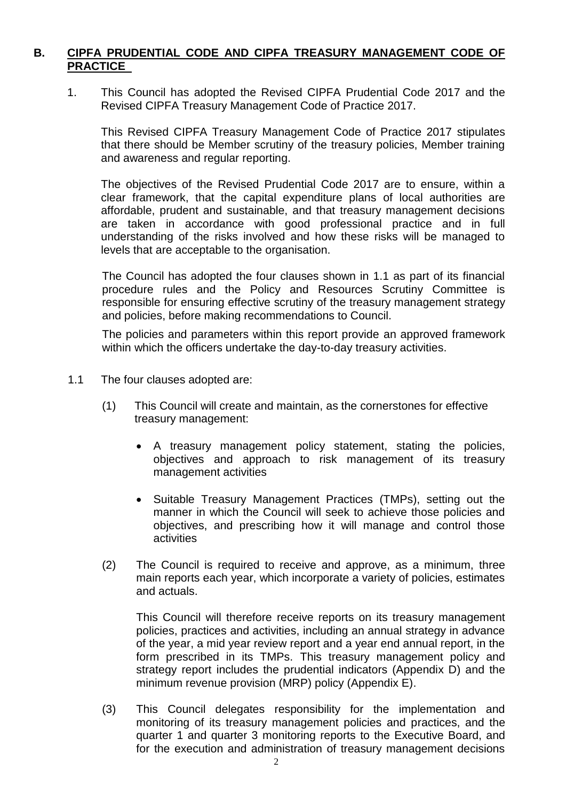## **B. CIPFA PRUDENTIAL CODE AND CIPFA TREASURY MANAGEMENT CODE OF PRACTICE**

1. This Council has adopted the Revised CIPFA Prudential Code 2017 and the Revised CIPFA Treasury Management Code of Practice 2017.

This Revised CIPFA Treasury Management Code of Practice 2017 stipulates that there should be Member scrutiny of the treasury policies, Member training and awareness and regular reporting.

The objectives of the Revised Prudential Code 2017 are to ensure, within a clear framework, that the capital expenditure plans of local authorities are affordable, prudent and sustainable, and that treasury management decisions are taken in accordance with good professional practice and in full understanding of the risks involved and how these risks will be managed to levels that are acceptable to the organisation.

The Council has adopted the four clauses shown in 1.1 as part of its financial procedure rules and the Policy and Resources Scrutiny Committee is responsible for ensuring effective scrutiny of the treasury management strategy and policies, before making recommendations to Council.

The policies and parameters within this report provide an approved framework within which the officers undertake the day-to-day treasury activities.

- 1.1 The four clauses adopted are:
	- (1) This Council will create and maintain, as the cornerstones for effective treasury management:
		- A treasury management policy statement, stating the policies, objectives and approach to risk management of its treasury management activities
		- Suitable Treasury Management Practices (TMPs), setting out the manner in which the Council will seek to achieve those policies and objectives, and prescribing how it will manage and control those activities
	- (2) The Council is required to receive and approve, as a minimum, three main reports each year, which incorporate a variety of policies, estimates and actuals.

This Council will therefore receive reports on its treasury management policies, practices and activities, including an annual strategy in advance of the year, a mid year review report and a year end annual report, in the form prescribed in its TMPs. This treasury management policy and strategy report includes the prudential indicators (Appendix D) and the minimum revenue provision (MRP) policy (Appendix E).

(3) This Council delegates responsibility for the implementation and monitoring of its treasury management policies and practices, and the quarter 1 and quarter 3 monitoring reports to the Executive Board, and for the execution and administration of treasury management decisions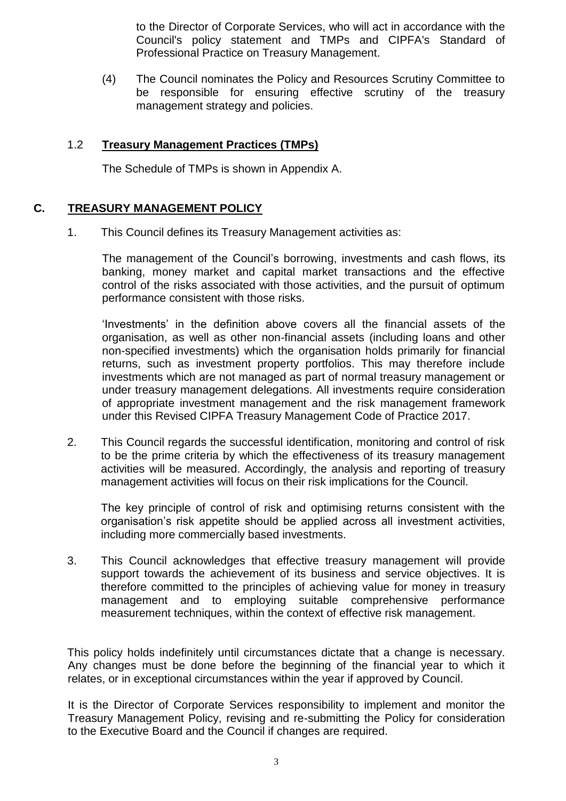to the Director of Corporate Services, who will act in accordance with the Council's policy statement and TMPs and CIPFA's Standard of Professional Practice on Treasury Management.

(4) The Council nominates the Policy and Resources Scrutiny Committee to be responsible for ensuring effective scrutiny of the treasury management strategy and policies.

## 1.2 **Treasury Management Practices (TMPs)**

The Schedule of TMPs is shown in Appendix A.

# **C. TREASURY MANAGEMENT POLICY**

1. This Council defines its Treasury Management activities as:

The management of the Council's borrowing, investments and cash flows, its banking, money market and capital market transactions and the effective control of the risks associated with those activities, and the pursuit of optimum performance consistent with those risks.

'Investments' in the definition above covers all the financial assets of the organisation, as well as other non-financial assets (including loans and other non-specified investments) which the organisation holds primarily for financial returns, such as investment property portfolios. This may therefore include investments which are not managed as part of normal treasury management or under treasury management delegations. All investments require consideration of appropriate investment management and the risk management framework under this Revised CIPFA Treasury Management Code of Practice 2017.

2. This Council regards the successful identification, monitoring and control of risk to be the prime criteria by which the effectiveness of its treasury management activities will be measured. Accordingly, the analysis and reporting of treasury management activities will focus on their risk implications for the Council.

The key principle of control of risk and optimising returns consistent with the organisation's risk appetite should be applied across all investment activities, including more commercially based investments.

3. This Council acknowledges that effective treasury management will provide support towards the achievement of its business and service objectives. It is therefore committed to the principles of achieving value for money in treasury management and to employing suitable comprehensive performance measurement techniques, within the context of effective risk management.

This policy holds indefinitely until circumstances dictate that a change is necessary. Any changes must be done before the beginning of the financial year to which it relates, or in exceptional circumstances within the year if approved by Council.

It is the Director of Corporate Services responsibility to implement and monitor the Treasury Management Policy, revising and re-submitting the Policy for consideration to the Executive Board and the Council if changes are required.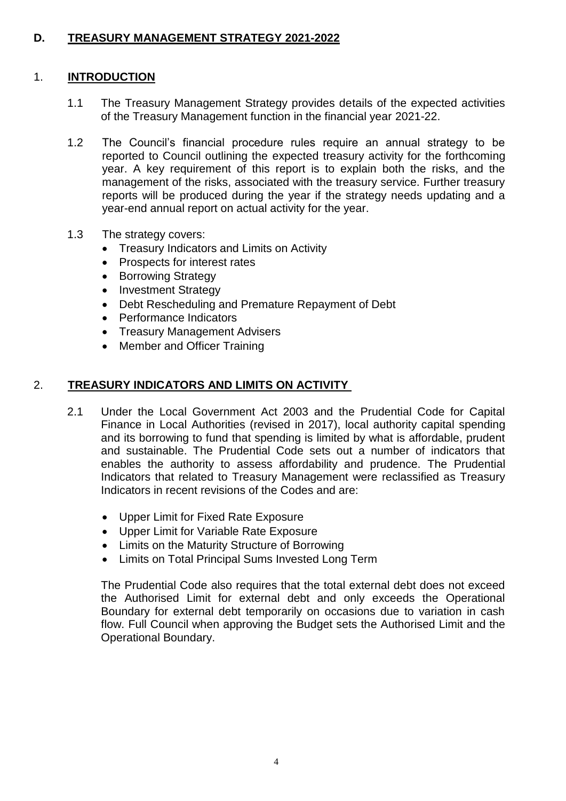# **D. TREASURY MANAGEMENT STRATEGY 2021-2022**

## 1. **INTRODUCTION**

- 1.1 The Treasury Management Strategy provides details of the expected activities of the Treasury Management function in the financial year 2021-22.
- 1.2 The Council's financial procedure rules require an annual strategy to be reported to Council outlining the expected treasury activity for the forthcoming year. A key requirement of this report is to explain both the risks, and the management of the risks, associated with the treasury service. Further treasury reports will be produced during the year if the strategy needs updating and a year-end annual report on actual activity for the year.
- 1.3 The strategy covers:
	- Treasury Indicators and Limits on Activity
	- Prospects for interest rates
	- Borrowing Strategy
	- Investment Strategy
	- Debt Rescheduling and Premature Repayment of Debt
	- Performance Indicators
	- Treasury Management Advisers
	- Member and Officer Training

### 2. **TREASURY INDICATORS AND LIMITS ON ACTIVITY**

- 2.1 Under the Local Government Act 2003 and the Prudential Code for Capital Finance in Local Authorities (revised in 2017), local authority capital spending and its borrowing to fund that spending is limited by what is affordable, prudent and sustainable. The Prudential Code sets out a number of indicators that enables the authority to assess affordability and prudence. The Prudential Indicators that related to Treasury Management were reclassified as Treasury Indicators in recent revisions of the Codes and are:
	- Upper Limit for Fixed Rate Exposure
	- Upper Limit for Variable Rate Exposure
	- Limits on the Maturity Structure of Borrowing
	- Limits on Total Principal Sums Invested Long Term

The Prudential Code also requires that the total external debt does not exceed the Authorised Limit for external debt and only exceeds the Operational Boundary for external debt temporarily on occasions due to variation in cash flow. Full Council when approving the Budget sets the Authorised Limit and the Operational Boundary.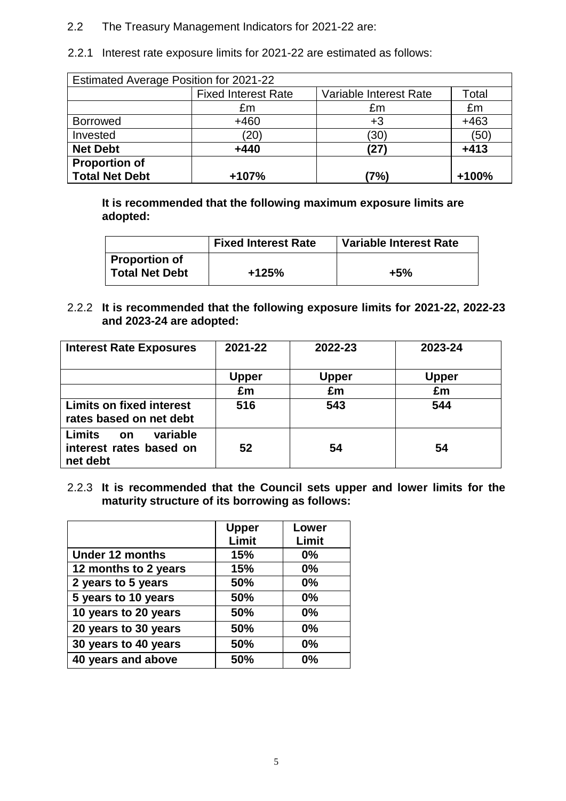- 2.2 The Treasury Management Indicators for 2021-22 are:
- 2.2.1 Interest rate exposure limits for 2021-22 are estimated as follows:

| Estimated Average Position for 2021-22 |                            |                        |         |  |
|----------------------------------------|----------------------------|------------------------|---------|--|
|                                        | <b>Fixed Interest Rate</b> | Variable Interest Rate |         |  |
|                                        | £m                         | £m                     | £m      |  |
| <b>Borrowed</b>                        | $+460$                     | +3                     | $+463$  |  |
| Invested                               | (20)                       | (30)                   | (50)    |  |
| <b>Net Debt</b>                        | $+440$                     | (27)                   | $+413$  |  |
| <b>Proportion of</b>                   |                            |                        |         |  |
| <b>Total Net Debt</b>                  | +107%                      | (7%)                   | $+100%$ |  |

**It is recommended that the following maximum exposure limits are adopted:** 

|                                        | <b>Fixed Interest Rate</b> | <b>Variable Interest Rate</b> |
|----------------------------------------|----------------------------|-------------------------------|
| Proportion of<br><b>Total Net Debt</b> | $+125%$                    | $+5%$                         |

2.2.2 **It is recommended that the following exposure limits for 2021-22, 2022-23 and 2023-24 are adopted:**

| <b>Interest Rate Exposures</b>                                         | 2021-22      | 2022-23      | 2023-24 |
|------------------------------------------------------------------------|--------------|--------------|---------|
|                                                                        | <b>Upper</b> | <b>Upper</b> | Upper   |
|                                                                        | £m           | £m           | £m      |
| <b>Limits on fixed interest</b><br>rates based on net debt             | 516          | 543          | 544     |
| Limits<br>variable<br><b>on</b><br>interest rates based on<br>net debt | 52           | 54           | 54      |

2.2.3 **It is recommended that the Council sets upper and lower limits for the maturity structure of its borrowing as follows:**

|                      | <b>Upper</b> | Lower |
|----------------------|--------------|-------|
|                      | Limit        | Limit |
| Under 12 months      | 15%          | 0%    |
| 12 months to 2 years | 15%          | 0%    |
| 2 years to 5 years   | 50%          | 0%    |
| 5 years to 10 years  | 50%          | 0%    |
| 10 years to 20 years | 50%          | 0%    |
| 20 years to 30 years | 50%          | 0%    |
| 30 years to 40 years | 50%          | 0%    |
| 40 years and above   | 50%          | 0%    |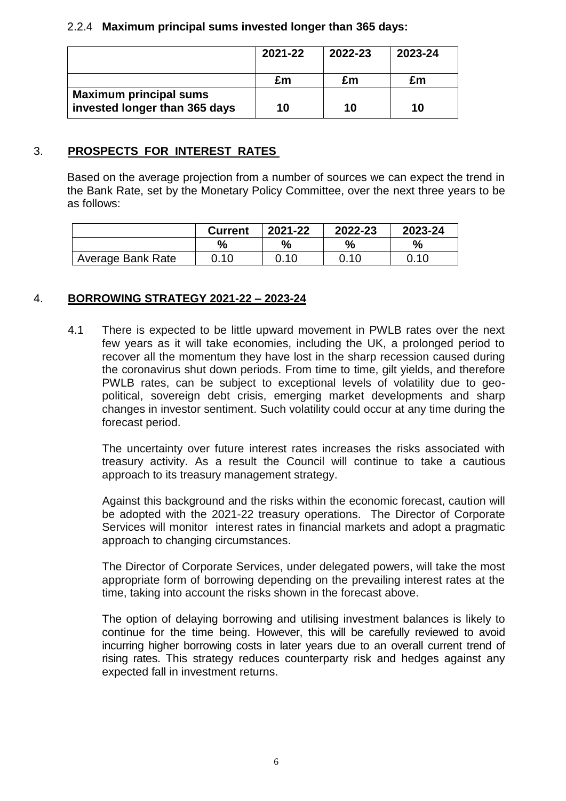## 2.2.4 **Maximum principal sums invested longer than 365 days:**

|                                                                | 2021-22 | 2022-23 | 2023-24 |
|----------------------------------------------------------------|---------|---------|---------|
|                                                                | £m      | £m      | £m      |
| <b>Maximum principal sums</b><br>invested longer than 365 days | 10      | 10      | 10      |

## 3. **PROSPECTS FOR INTEREST RATES**

Based on the average projection from a number of sources we can expect the trend in the Bank Rate, set by the Monetary Policy Committee, over the next three years to be as follows:

|                   | <b>Current</b> | 2021-22 | 2022-23 | 2023-24 |
|-------------------|----------------|---------|---------|---------|
|                   |                | $\%$    | %       |         |
| Average Bank Rate | 0.10           | 0.10    | 0.10    | 0.10    |

## 4. **BORROWING STRATEGY 2021-22 – 2023-24**

4.1 There is expected to be little upward movement in PWLB rates over the next few years as it will take economies, including the UK, a prolonged period to recover all the momentum they have lost in the sharp recession caused during the coronavirus shut down periods. From time to time, gilt yields, and therefore PWLB rates, can be subject to exceptional levels of volatility due to geopolitical, sovereign debt crisis, emerging market developments and sharp changes in investor sentiment. Such volatility could occur at any time during the forecast period.

The uncertainty over future interest rates increases the risks associated with treasury activity. As a result the Council will continue to take a cautious approach to its treasury management strategy.

Against this background and the risks within the economic forecast, caution will be adopted with the 2021-22 treasury operations. The Director of Corporate Services will monitor interest rates in financial markets and adopt a pragmatic approach to changing circumstances.

The Director of Corporate Services, under delegated powers, will take the most appropriate form of borrowing depending on the prevailing interest rates at the time, taking into account the risks shown in the forecast above.

The option of delaying borrowing and utilising investment balances is likely to continue for the time being. However, this will be carefully reviewed to avoid incurring higher borrowing costs in later years due to an overall current trend of rising rates. This strategy reduces counterparty risk and hedges against any expected fall in investment returns.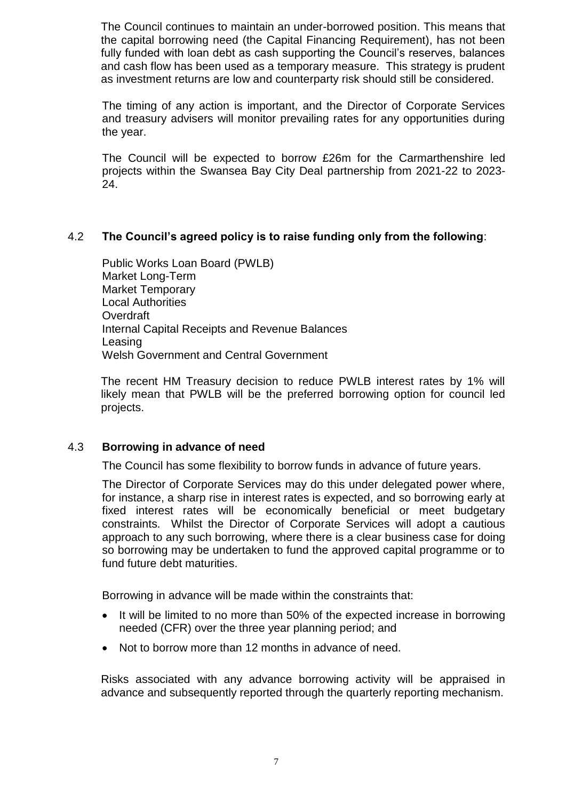The Council continues to maintain an under-borrowed position. This means that the capital borrowing need (the Capital Financing Requirement), has not been fully funded with loan debt as cash supporting the Council's reserves, balances and cash flow has been used as a temporary measure. This strategy is prudent as investment returns are low and counterparty risk should still be considered.

The timing of any action is important, and the Director of Corporate Services and treasury advisers will monitor prevailing rates for any opportunities during the year.

The Council will be expected to borrow £26m for the Carmarthenshire led projects within the Swansea Bay City Deal partnership from 2021-22 to 2023- 24.

## 4.2 **The Council's agreed policy is to raise funding only from the following**:

Public Works Loan Board (PWLB) Market Long-Term Market Temporary Local Authorities **Overdraft** Internal Capital Receipts and Revenue Balances Leasing Welsh Government and Central Government

The recent HM Treasury decision to reduce PWLB interest rates by 1% will likely mean that PWLB will be the preferred borrowing option for council led projects.

### 4.3 **Borrowing in advance of need**

The Council has some flexibility to borrow funds in advance of future years.

The Director of Corporate Services may do this under delegated power where, for instance, a sharp rise in interest rates is expected, and so borrowing early at fixed interest rates will be economically beneficial or meet budgetary constraints. Whilst the Director of Corporate Services will adopt a cautious approach to any such borrowing, where there is a clear business case for doing so borrowing may be undertaken to fund the approved capital programme or to fund future debt maturities.

Borrowing in advance will be made within the constraints that:

- It will be limited to no more than 50% of the expected increase in borrowing needed (CFR) over the three year planning period; and
- Not to borrow more than 12 months in advance of need.

Risks associated with any advance borrowing activity will be appraised in advance and subsequently reported through the quarterly reporting mechanism.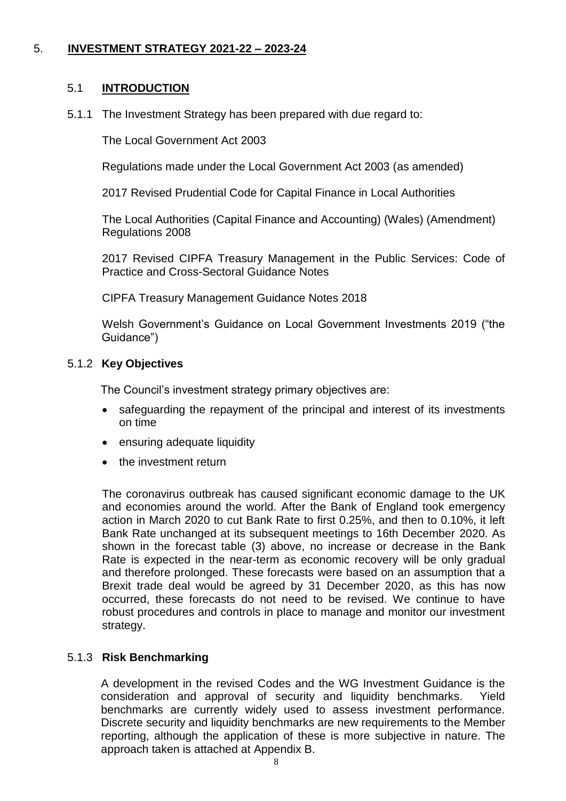## 5. **INVESTMENT STRATEGY 2021-22 – 2023-24**

#### 5.1 **INTRODUCTION**

5.1.1 The Investment Strategy has been prepared with due regard to:

The Local Government Act 2003

Regulations made under the Local Government Act 2003 (as amended)

2017 Revised Prudential Code for Capital Finance in Local Authorities

The Local Authorities (Capital Finance and Accounting) (Wales) (Amendment) Regulations 2008

2017 Revised CIPFA Treasury Management in the Public Services: Code of Practice and Cross-Sectoral Guidance Notes

CIPFA Treasury Management Guidance Notes 2018

Welsh Government's Guidance on Local Government Investments 2019 ("the Guidance")

#### 5.1.2 **Key Objectives**

The Council's investment strategy primary objectives are:

- safeguarding the repayment of the principal and interest of its investments on time
- ensuring adequate liquidity
- the investment return

The coronavirus outbreak has caused significant economic damage to the UK and economies around the world. After the Bank of England took emergency action in March 2020 to cut Bank Rate to first 0.25%, and then to 0.10%, it left Bank Rate unchanged at its subsequent meetings to 16th December 2020. As shown in the forecast table (3) above, no increase or decrease in the Bank Rate is expected in the near-term as economic recovery will be only gradual and therefore prolonged. These forecasts were based on an assumption that a Brexit trade deal would be agreed by 31 December 2020, as this has now occurred, these forecasts do not need to be revised. We continue to have robust procedures and controls in place to manage and monitor our investment strategy.

### 5.1.3 **Risk Benchmarking**

A development in the revised Codes and the WG Investment Guidance is the consideration and approval of security and liquidity benchmarks. Yield benchmarks are currently widely used to assess investment performance. Discrete security and liquidity benchmarks are new requirements to the Member reporting, although the application of these is more subjective in nature. The approach taken is attached at Appendix B.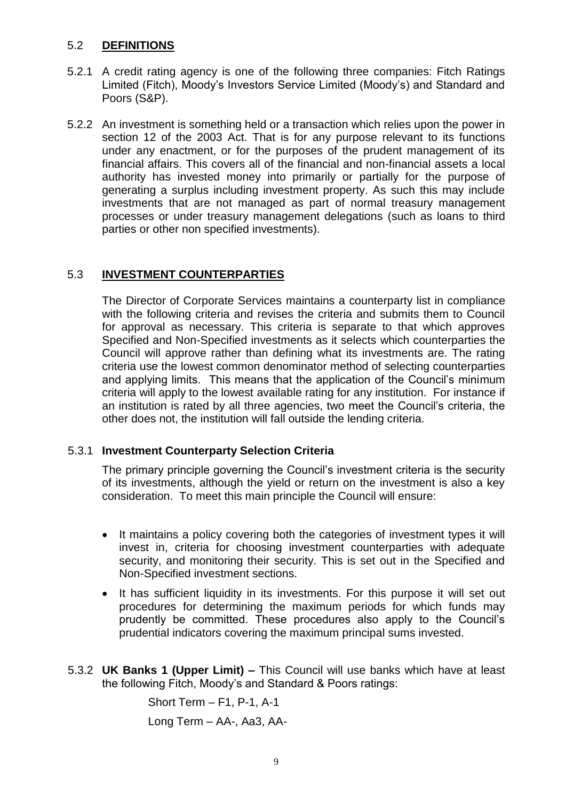## 5.2 **DEFINITIONS**

- 5.2.1 A credit rating agency is one of the following three companies: Fitch Ratings Limited (Fitch), Moody's Investors Service Limited (Moody's) and Standard and Poors (S&P).
- 5.2.2 An investment is something held or a transaction which relies upon the power in section 12 of the 2003 Act. That is for any purpose relevant to its functions under any enactment, or for the purposes of the prudent management of its financial affairs. This covers all of the financial and non-financial assets a local authority has invested money into primarily or partially for the purpose of generating a surplus including investment property. As such this may include investments that are not managed as part of normal treasury management processes or under treasury management delegations (such as loans to third parties or other non specified investments).

## 5.3 **INVESTMENT COUNTERPARTIES**

The Director of Corporate Services maintains a counterparty list in compliance with the following criteria and revises the criteria and submits them to Council for approval as necessary. This criteria is separate to that which approves Specified and Non-Specified investments as it selects which counterparties the Council will approve rather than defining what its investments are. The rating criteria use the lowest common denominator method of selecting counterparties and applying limits. This means that the application of the Council's minimum criteria will apply to the lowest available rating for any institution. For instance if an institution is rated by all three agencies, two meet the Council's criteria, the other does not, the institution will fall outside the lending criteria.

### 5.3.1 **Investment Counterparty Selection Criteria**

The primary principle governing the Council's investment criteria is the security of its investments, although the yield or return on the investment is also a key consideration. To meet this main principle the Council will ensure:

- It maintains a policy covering both the categories of investment types it will invest in, criteria for choosing investment counterparties with adequate security, and monitoring their security. This is set out in the Specified and Non-Specified investment sections.
- It has sufficient liquidity in its investments. For this purpose it will set out procedures for determining the maximum periods for which funds may prudently be committed. These procedures also apply to the Council's prudential indicators covering the maximum principal sums invested.
- 5.3.2 **UK Banks 1 (Upper Limit) –** This Council will use banks which have at least the following Fitch, Moody's and Standard & Poors ratings:

Short Term – F1, P-1, A-1 Long Term – AA-, Aa3, AA-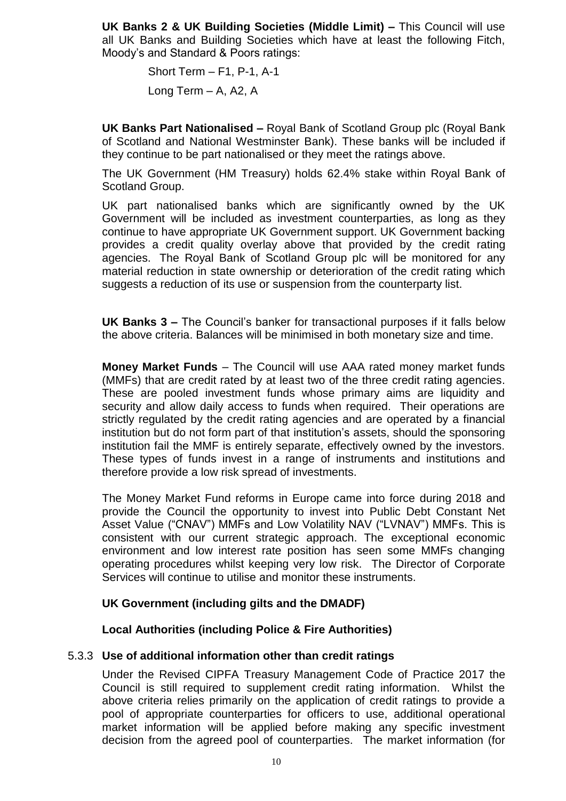**UK Banks 2 & UK Building Societies (Middle Limit) –** This Council will use all UK Banks and Building Societies which have at least the following Fitch, Moody's and Standard & Poors ratings:

> Short Term – F1, P-1, A-1 Long Term – A, A2, A

**UK Banks Part Nationalised –** Royal Bank of Scotland Group plc (Royal Bank of Scotland and National Westminster Bank). These banks will be included if they continue to be part nationalised or they meet the ratings above.

The UK Government (HM Treasury) holds 62.4% stake within Royal Bank of Scotland Group.

UK part nationalised banks which are significantly owned by the UK Government will be included as investment counterparties, as long as they continue to have appropriate UK Government support. UK Government backing provides a credit quality overlay above that provided by the credit rating agencies. The Royal Bank of Scotland Group plc will be monitored for any material reduction in state ownership or deterioration of the credit rating which suggests a reduction of its use or suspension from the counterparty list.

**UK Banks 3 –** The Council's banker for transactional purposes if it falls below the above criteria. Balances will be minimised in both monetary size and time.

**Money Market Funds** – The Council will use AAA rated money market funds (MMFs) that are credit rated by at least two of the three credit rating agencies. These are pooled investment funds whose primary aims are liquidity and security and allow daily access to funds when required. Their operations are strictly regulated by the credit rating agencies and are operated by a financial institution but do not form part of that institution's assets, should the sponsoring institution fail the MMF is entirely separate, effectively owned by the investors. These types of funds invest in a range of instruments and institutions and therefore provide a low risk spread of investments.

The Money Market Fund reforms in Europe came into force during 2018 and provide the Council the opportunity to invest into Public Debt Constant Net Asset Value ("CNAV") MMFs and Low Volatility NAV ("LVNAV") MMFs. This is consistent with our current strategic approach. The exceptional economic environment and low interest rate position has seen some MMFs changing operating procedures whilst keeping very low risk. The Director of Corporate Services will continue to utilise and monitor these instruments.

### **UK Government (including gilts and the DMADF)**

#### **Local Authorities (including Police & Fire Authorities)**

#### 5.3.3 **Use of additional information other than credit ratings**

Under the Revised CIPFA Treasury Management Code of Practice 2017 the Council is still required to supplement credit rating information. Whilst the above criteria relies primarily on the application of credit ratings to provide a pool of appropriate counterparties for officers to use, additional operational market information will be applied before making any specific investment decision from the agreed pool of counterparties. The market information (for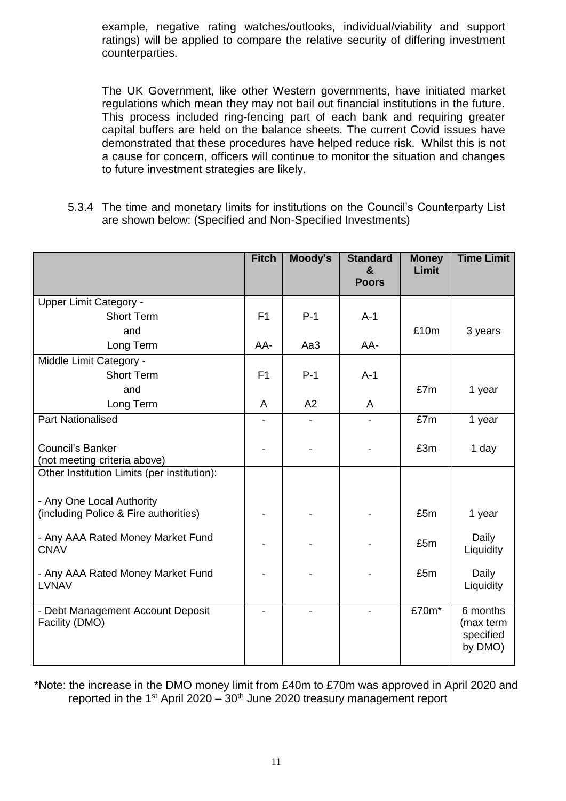example, negative rating watches/outlooks, individual/viability and support ratings) will be applied to compare the relative security of differing investment counterparties.

The UK Government, like other Western governments, have initiated market regulations which mean they may not bail out financial institutions in the future. This process included ring-fencing part of each bank and requiring greater capital buffers are held on the balance sheets. The current Covid issues have demonstrated that these procedures have helped reduce risk. Whilst this is not a cause for concern, officers will continue to monitor the situation and changes to future investment strategies are likely.

5.3.4 The time and monetary limits for institutions on the Council's Counterparty List are shown below: (Specified and Non-Specified Investments)

|                                                                          | <b>Fitch</b>   | Moody's | <b>Standard</b><br>$\mathbf{a}$<br><b>Poors</b> | <b>Money</b><br>Limit | <b>Time Limit</b>                             |
|--------------------------------------------------------------------------|----------------|---------|-------------------------------------------------|-----------------------|-----------------------------------------------|
| Upper Limit Category -                                                   |                |         |                                                 |                       |                                               |
| <b>Short Term</b>                                                        | F <sub>1</sub> | $P-1$   | $A-1$                                           |                       |                                               |
| and                                                                      |                |         |                                                 | £10m                  | 3 years                                       |
| Long Term                                                                | AA-            | Aa3     | AA-                                             |                       |                                               |
| Middle Limit Category -                                                  |                |         |                                                 |                       |                                               |
| <b>Short Term</b>                                                        | F1             | $P-1$   | $A-1$                                           |                       |                                               |
| and                                                                      |                |         |                                                 | £7m                   | 1 year                                        |
| Long Term                                                                | A              | A2      | A                                               |                       |                                               |
| <b>Part Nationalised</b>                                                 |                |         |                                                 | £7m                   | 1 year                                        |
| Council's Banker<br>(not meeting criteria above)                         |                |         |                                                 | £3m                   | 1 day                                         |
| Other Institution Limits (per institution):<br>- Any One Local Authority |                |         |                                                 |                       |                                               |
| (including Police & Fire authorities)                                    |                |         |                                                 | £5m                   | 1 year                                        |
| - Any AAA Rated Money Market Fund<br><b>CNAV</b>                         |                |         |                                                 | £5m                   | Daily<br>Liquidity                            |
| - Any AAA Rated Money Market Fund<br><b>LVNAV</b>                        |                |         |                                                 | £5m                   | Daily<br>Liquidity                            |
| - Debt Management Account Deposit<br>Facility (DMO)                      |                |         |                                                 | £70m*                 | 6 months<br>(max term<br>specified<br>by DMO) |

\*Note: the increase in the DMO money limit from £40m to £70m was approved in April 2020 and reported in the 1<sup>st</sup> April 2020 –  $30<sup>th</sup>$  June 2020 treasury management report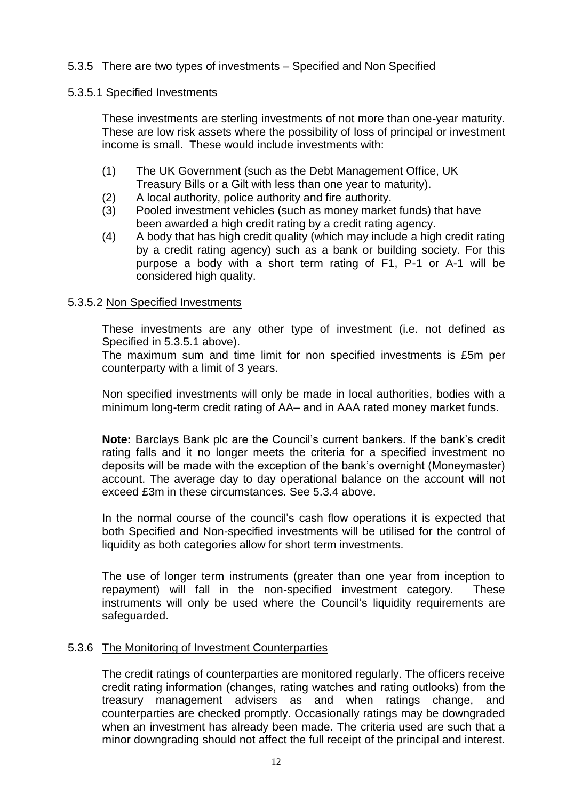## 5.3.5 There are two types of investments – Specified and Non Specified

### 5.3.5.1 Specified Investments

These investments are sterling investments of not more than one-year maturity. These are low risk assets where the possibility of loss of principal or investment income is small. These would include investments with:

- (1) The UK Government (such as the Debt Management Office, UK Treasury Bills or a Gilt with less than one year to maturity).
- (2) A local authority, police authority and fire authority.
- (3) Pooled investment vehicles (such as money market funds) that have been awarded a high credit rating by a credit rating agency.
- (4) A body that has high credit quality (which may include a high credit rating by a credit rating agency) such as a bank or building society. For this purpose a body with a short term rating of F1, P-1 or A-1 will be considered high quality.

#### 5.3.5.2 Non Specified Investments

These investments are any other type of investment (i.e. not defined as Specified in 5.3.5.1 above).

The maximum sum and time limit for non specified investments is £5m per counterparty with a limit of 3 years.

Non specified investments will only be made in local authorities, bodies with a minimum long-term credit rating of AA– and in AAA rated money market funds.

**Note:** Barclays Bank plc are the Council's current bankers. If the bank's credit rating falls and it no longer meets the criteria for a specified investment no deposits will be made with the exception of the bank's overnight (Moneymaster) account. The average day to day operational balance on the account will not exceed £3m in these circumstances. See 5.3.4 above.

In the normal course of the council's cash flow operations it is expected that both Specified and Non-specified investments will be utilised for the control of liquidity as both categories allow for short term investments.

The use of longer term instruments (greater than one year from inception to repayment) will fall in the non-specified investment category. These instruments will only be used where the Council's liquidity requirements are safeguarded.

### 5.3.6 The Monitoring of Investment Counterparties

The credit ratings of counterparties are monitored regularly. The officers receive credit rating information (changes, rating watches and rating outlooks) from the treasury management advisers as and when ratings change, and counterparties are checked promptly. Occasionally ratings may be downgraded when an investment has already been made. The criteria used are such that a minor downgrading should not affect the full receipt of the principal and interest.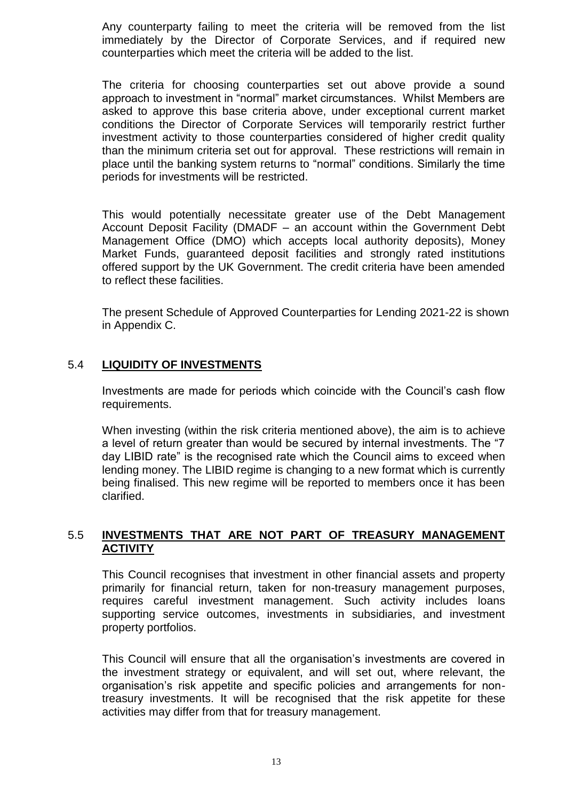Any counterparty failing to meet the criteria will be removed from the list immediately by the Director of Corporate Services, and if required new counterparties which meet the criteria will be added to the list.

The criteria for choosing counterparties set out above provide a sound approach to investment in "normal" market circumstances. Whilst Members are asked to approve this base criteria above, under exceptional current market conditions the Director of Corporate Services will temporarily restrict further investment activity to those counterparties considered of higher credit quality than the minimum criteria set out for approval. These restrictions will remain in place until the banking system returns to "normal" conditions. Similarly the time periods for investments will be restricted.

This would potentially necessitate greater use of the Debt Management Account Deposit Facility (DMADF – an account within the Government Debt Management Office (DMO) which accepts local authority deposits), Money Market Funds, guaranteed deposit facilities and strongly rated institutions offered support by the UK Government. The credit criteria have been amended to reflect these facilities.

The present Schedule of Approved Counterparties for Lending 2021-22 is shown in Appendix C.

## 5.4 **LIQUIDITY OF INVESTMENTS**

Investments are made for periods which coincide with the Council's cash flow requirements.

When investing (within the risk criteria mentioned above), the aim is to achieve a level of return greater than would be secured by internal investments. The "7 day LIBID rate" is the recognised rate which the Council aims to exceed when lending money. The LIBID regime is changing to a new format which is currently being finalised. This new regime will be reported to members once it has been clarified.

### 5.5 **INVESTMENTS THAT ARE NOT PART OF TREASURY MANAGEMENT ACTIVITY**

This Council recognises that investment in other financial assets and property primarily for financial return, taken for non-treasury management purposes, requires careful investment management. Such activity includes loans supporting service outcomes, investments in subsidiaries, and investment property portfolios.

This Council will ensure that all the organisation's investments are covered in the investment strategy or equivalent, and will set out, where relevant, the organisation's risk appetite and specific policies and arrangements for nontreasury investments. It will be recognised that the risk appetite for these activities may differ from that for treasury management.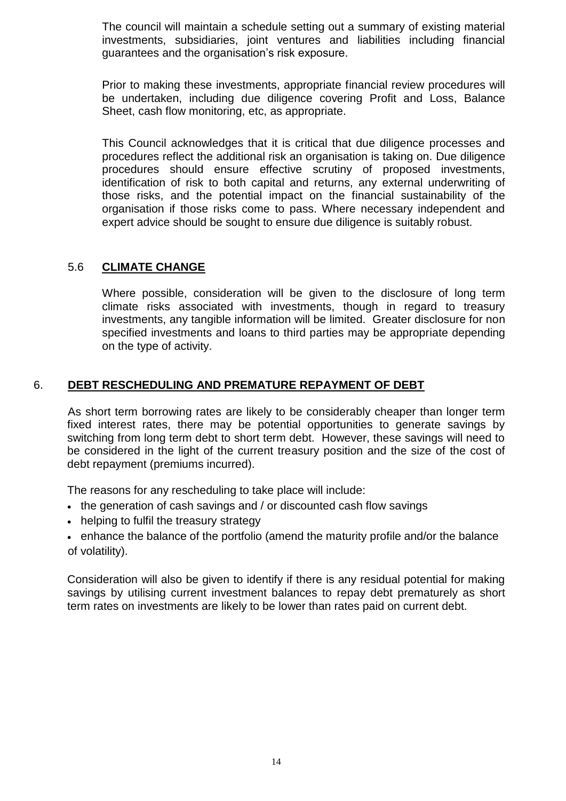The council will maintain a schedule setting out a summary of existing material investments, subsidiaries, joint ventures and liabilities including financial guarantees and the organisation's risk exposure.

Prior to making these investments, appropriate financial review procedures will be undertaken, including due diligence covering Profit and Loss, Balance Sheet, cash flow monitoring, etc, as appropriate.

This Council acknowledges that it is critical that due diligence processes and procedures reflect the additional risk an organisation is taking on. Due diligence procedures should ensure effective scrutiny of proposed investments, identification of risk to both capital and returns, any external underwriting of those risks, and the potential impact on the financial sustainability of the organisation if those risks come to pass. Where necessary independent and expert advice should be sought to ensure due diligence is suitably robust.

## 5.6 **CLIMATE CHANGE**

Where possible, consideration will be given to the disclosure of long term climate risks associated with investments, though in regard to treasury investments, any tangible information will be limited. Greater disclosure for non specified investments and loans to third parties may be appropriate depending on the type of activity.

## 6. **DEBT RESCHEDULING AND PREMATURE REPAYMENT OF DEBT**

As short term borrowing rates are likely to be considerably cheaper than longer term fixed interest rates, there may be potential opportunities to generate savings by switching from long term debt to short term debt. However, these savings will need to be considered in the light of the current treasury position and the size of the cost of debt repayment (premiums incurred).

The reasons for any rescheduling to take place will include:

- the generation of cash savings and / or discounted cash flow savings
- helping to fulfil the treasury strategy
- enhance the balance of the portfolio (amend the maturity profile and/or the balance of volatility).

Consideration will also be given to identify if there is any residual potential for making savings by utilising current investment balances to repay debt prematurely as short term rates on investments are likely to be lower than rates paid on current debt.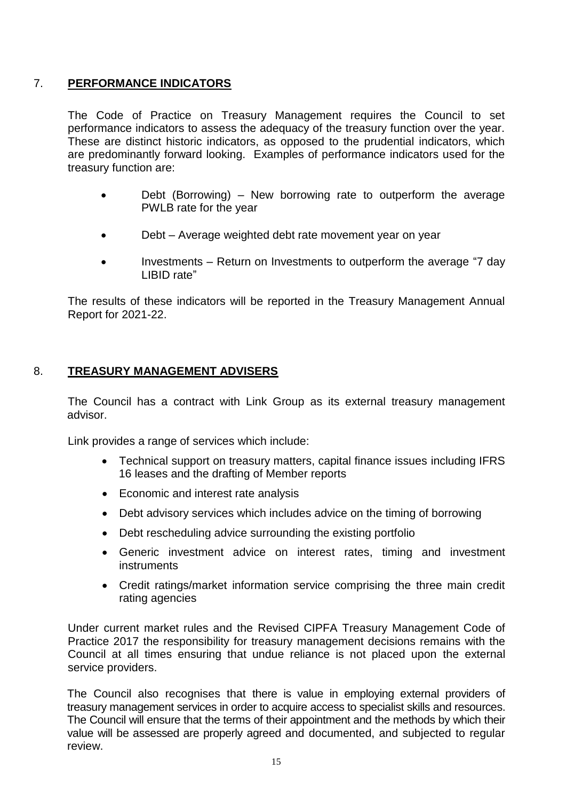# 7. **PERFORMANCE INDICATORS**

The Code of Practice on Treasury Management requires the Council to set performance indicators to assess the adequacy of the treasury function over the year. These are distinct historic indicators, as opposed to the prudential indicators, which are predominantly forward looking. Examples of performance indicators used for the treasury function are:

- Debt (Borrowing) New borrowing rate to outperform the average PWLB rate for the year
- Debt Average weighted debt rate movement year on year
- Investments Return on Investments to outperform the average "7 day LIBID rate"

The results of these indicators will be reported in the Treasury Management Annual Report for 2021-22.

## 8. **TREASURY MANAGEMENT ADVISERS**

The Council has a contract with Link Group as its external treasury management advisor.

Link provides a range of services which include:

- Technical support on treasury matters, capital finance issues including IFRS 16 leases and the drafting of Member reports
- Economic and interest rate analysis
- Debt advisory services which includes advice on the timing of borrowing
- Debt rescheduling advice surrounding the existing portfolio
- Generic investment advice on interest rates, timing and investment **instruments**
- Credit ratings/market information service comprising the three main credit rating agencies

Under current market rules and the Revised CIPFA Treasury Management Code of Practice 2017 the responsibility for treasury management decisions remains with the Council at all times ensuring that undue reliance is not placed upon the external service providers.

The Council also recognises that there is value in employing external providers of treasury management services in order to acquire access to specialist skills and resources. The Council will ensure that the terms of their appointment and the methods by which their value will be assessed are properly agreed and documented, and subjected to regular review.